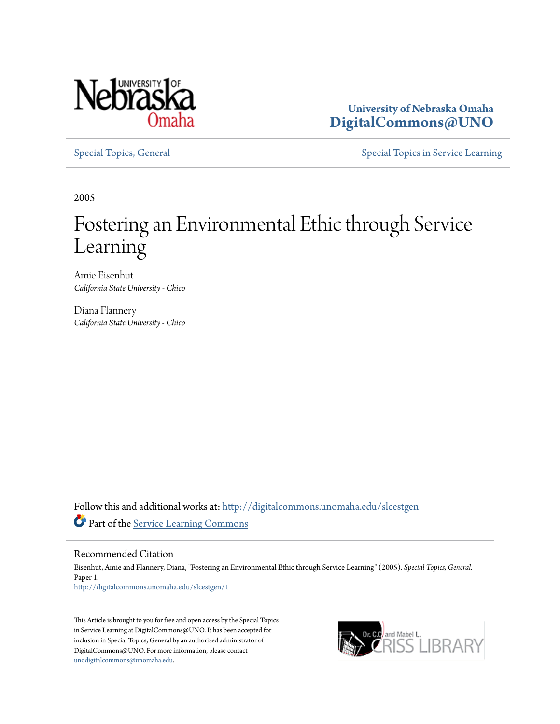

**University of Nebraska Omaha [DigitalCommons@UNO](http://digitalcommons.unomaha.edu?utm_source=digitalcommons.unomaha.edu%2Fslcestgen%2F1&utm_medium=PDF&utm_campaign=PDFCoverPages)**

[Special Topics, General](http://digitalcommons.unomaha.edu/slcestgen?utm_source=digitalcommons.unomaha.edu%2Fslcestgen%2F1&utm_medium=PDF&utm_campaign=PDFCoverPages) [Special Topics in Service Learning](http://digitalcommons.unomaha.edu/slcespecialtopics?utm_source=digitalcommons.unomaha.edu%2Fslcestgen%2F1&utm_medium=PDF&utm_campaign=PDFCoverPages)

2005

# Fostering an Environmental Ethic through Service Learning

Amie Eisenhut *California State University - Chico*

Diana Flannery *California State University - Chico*

Follow this and additional works at: [http://digitalcommons.unomaha.edu/slcestgen](http://digitalcommons.unomaha.edu/slcestgen?utm_source=digitalcommons.unomaha.edu%2Fslcestgen%2F1&utm_medium=PDF&utm_campaign=PDFCoverPages) Part of the [Service Learning Commons](http://network.bepress.com/hgg/discipline/1024?utm_source=digitalcommons.unomaha.edu%2Fslcestgen%2F1&utm_medium=PDF&utm_campaign=PDFCoverPages)

Recommended Citation

Eisenhut, Amie and Flannery, Diana, "Fostering an Environmental Ethic through Service Learning" (2005). *Special Topics, General.* Paper 1. [http://digitalcommons.unomaha.edu/slcestgen/1](http://digitalcommons.unomaha.edu/slcestgen/1?utm_source=digitalcommons.unomaha.edu%2Fslcestgen%2F1&utm_medium=PDF&utm_campaign=PDFCoverPages)

This Article is brought to you for free and open access by the Special Topics in Service Learning at DigitalCommons@UNO. It has been accepted for inclusion in Special Topics, General by an authorized administrator of DigitalCommons@UNO. For more information, please contact [unodigitalcommons@unomaha.edu](mailto:unodigitalcommons@unomaha.edu).

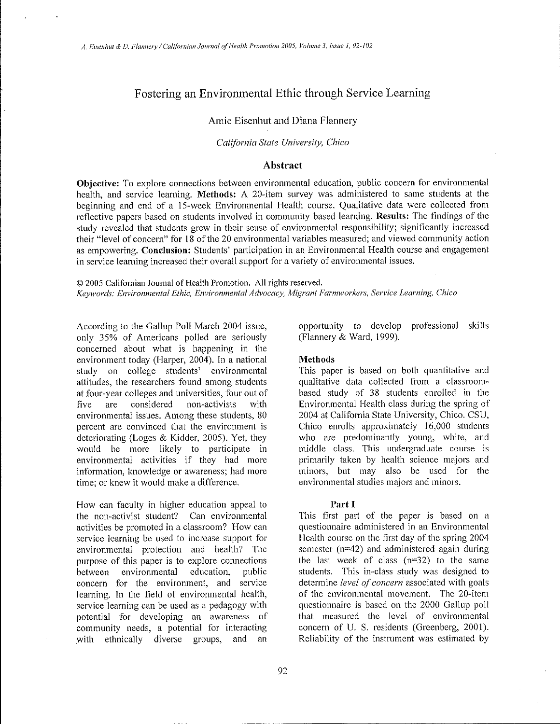# Fostering an Environmental Ethic through Service Learning

## Amie Eisenhut and Diana Flannery

#### *California State University, Chico*

## Abstract

Objective: To explore connections between environmental education, public concern for environmental health, and service learning. Methods: A 20-item survey was administered to same students at the beginning and end of a 15-week Environmental Health course. Qualitative data were collected from reflective papers based on students involved in community based learning. Results: The findings of the study revealed that students grew in their sense of environmental responsibility; significantly increased their "level of concern" for 18 of the 20 environmental variables measured; and viewed community action as empowering. Conclusion: Students' participation in an Environmental Health course and engagement in service learning increased their overall suppoti for a variety of environmental issues.

© 2005 Californian Journal of Health Promotion. All rights reserved. Keywords: Environmental Ethic, Environmental Advocacy, Migrant Farmworkers, Service Learning, Chico

According to the Gallup Poll March 2004 issue, only 35% of Americans polled are seriously concerned about what is happening in the environment today (Harper, 2004). In a national study on college students' environmental attitudes, the researchers found among students at four-year colleges and universities, four out of five are considered non-activists with environmental issues. Among these students, 80 percent are convinced that the environment is deteriorating (Loges & Kidder, 2005). Yet, they would be more likely to participate in environmental activities if they had more information, knowledge or awareness; had more time; or knew it would make a difference.

How can faculty in higher education appeal to the non-activist student? Can environmental activities be promoted in a classroom? How can service learning be used to increase support for environmental protection and health? The purpose of this paper is to explore connections between environmental education, public concern for the environment, and service learning. In the field of environmental health, service learning can be used as a pedagogy with potential for developing an awareness of community needs, a potential for interacting with ethnically diverse groups, and an

opportunity to develop professional skills (Flannery & Ward, 1999).

#### Methods

This paper is based on both quantitative and qualitative data collected from a classroombased study of 38 students enrolled in the Environmental Health class during the spring of 2004 at California State University, Chico. CSU, Chico enrolls approximately 16,000 students who are predominantly young, white, and middle class. This undergraduate course is primarily taken by health science majors and minors, but may also be used for the environmental studies majors and minors.

#### Part I

This first part of the paper is based on a questionnaire administered in an Environmental Health course on the first day of the spring 2004 semester (n=42) and administered again during the last week of class  $(n=32)$  to the same students. This in-class study was designed to determine *level of concern.* associated with goals of the environmental movement. The 20-item questionnaire is based on the 2000 Gallup poll that measured the level of environmental concern of U. S. residents (Greenberg, 2001). Reliability of the instrument was estimated by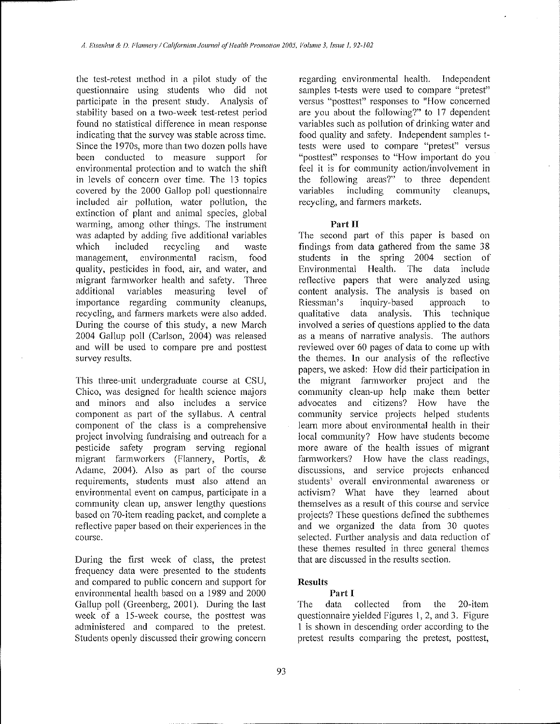the test-retest method in a pilot study of the questionnaire using students who did not participate in the present study. Analysis of stability based on a two-week test-retest period found no statistical difference in mean response indicating that the survey was stable across time. Since the 1970s, more than two dozen polls have been conducted to measure support for environmental protection and to watch the shift in levels of concern over time. The 13 topics covered by the 2000 Gallop poll questionnaire included air pollution, water pollution, the extinction of plant and animal species, global **warming, among other things. The instrument**  was adapted by adding five additional variables which included recycling and waste **management, environmental racism, food quality, pesticides in food, air, and water, and**  migrant farmworker health and safety. Three additional variables measuring level of impotianee regarding community cleanups, recycling, and fanners markets were also added. During the course of this study, a new March 2004 Gallup poll (Carlson, 2004) was released and will be used to compare pre and posttest survey results.

This three-unit undergraduate course at CSU, Chico, was designed for health science majors **and minors and also includes a service**  component as part of the syllabus. A central component of the class is a comprehensive project involving fundraising and outreach for a pesticide safety program serving regional migrant farmworkers (Flannery, Portis, & Adame, 2004). Also as part of the course **requirements, students must also attend an environmental event on campus, participate in a**  community clean up, answer lengthy questions based on 70-item reading packet, and complete a reflective paper based on their experiences in the **course.** 

During the first week of class, the pretest frequency data were presented to the students and compared to public concern and support for environmental health based on a 1989 and 2000 Gallup poll (Greenberg, 2001). During the last week of a 15-week course, the posttest was administered and compared to the pretest. Students openly discussed their growing concern

regarding environmental health. Independent **samples t-tests were used to compare "pretest" versus "posttest" responses to 11How concerned**  are you about the following?" to 17 dependent variables such as pollution of drinking water and food quality and safety. Independent samples t**tests were used to compare "pretest" versus**  "posttest" responses to "How important do you feel it is for community action/involvement in the following areas?" to three dependent variables including community cleanups. including community recycling, and farmers markets.

## **Part II**

The second part of this paper is based on findings from data gathered from the same 38 students in the spring 2004 section of Environmental Health. The data include reflective papers that were analyzed using **content analysis. The analysis is based on**  Riessman's inquiry-based approach to qualitative data analysis. This technique involved a series of questions applied to the data **as a means of narrative analysis. The authors**  reviewed over 60 pages of data to come up with the themes. In our analysis of the reflective papers, we asked: How did their participation in the migrant farmworker project and the community clean-up help make them better **advocates and citizens? How have the**  community service projects helped students learn more about environmental health in their local community? How have students become more aware of the health issues of migrant **farmworkers? How have the class readings, discussions, and service projects enhanced students' overall environmental awareness or**  activism? What have they learned about themselves as a result of this course and service projects? These questions defined the subthemes and we organized the data from 30 quotes selected. Further analysis and data reduction of these themes resulted in three general themes that are discussed in the results section.

# **Results**

# **Part I**

The data collected from the 20-item questionnaire yielded Figures 1, 2, and 3. Figure I is shown in descending order according to the pretest results comparing the pretest, posttest,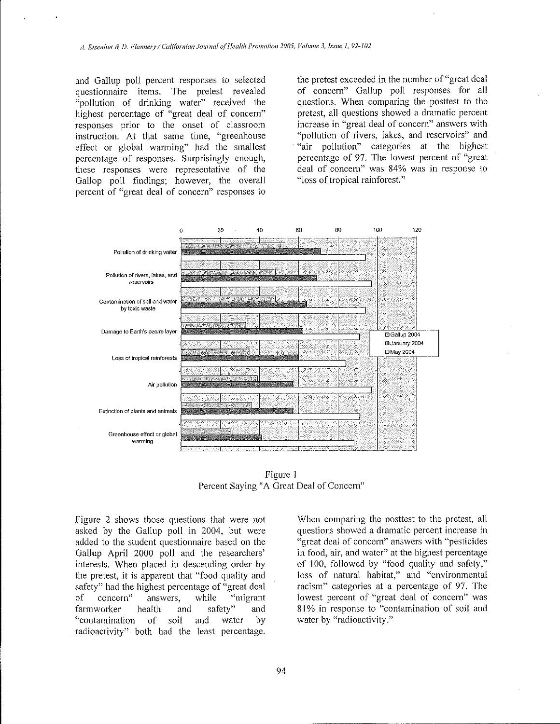and Gallup poll percent responses to selected questionnaire items. The pretest revealed "pollution of drinking water" received the highest percentage of "great deal of concern" responses prior to the onset of classroom instruction. At that same time, "greenhouse effect or global warming" had the smallest percentage of responses. Surprisingly enough, these responses were representative of the Gallop poll findings; however, the overall percent of "great deal of concern" responses to the pretest exceeded in the number of "great deal of concern" Gallup poll responses for all questions. When comparing the posttest to the pretest, all questions showed a dramatic percent increase in "great deal of concern" answers with "pollution of rivers, lakes, and reservoirs" and "air pollution" categories at the highest percentage of 97. The lowest percent of "great deal of concern" was 84% was in response to "loss of tropical rainforest."



figure 1 Percent Saying "A Great Deal of Concern"

figure 2 shows those questions that were not asked by the Gallup poll in 2004, but were added to the student questionnaire based on the Gallup April 2000 poll and the researchers' interests. When placed in descending order by the pretest, it is apparent that "food quality and safety" had the highest percentage of "great deal of concern" answers, while "migrant fannworker health and safety" and "contamination of soil and water by radioactivity" both had the least percentage.

When comparing the posttest to the pretest, all questions showed a dramatic percent increase in ~'great deal of concern" answers with "pesticides in food, air, and water" at the highest percentage of 100, followed by "food quality and safety," loss of natural habitat," and "environmental racism" categories at a percentage of 97. The lowest percent of "great deal of concern" was 81% in response to "contamination of soil and water by "radioactivity.''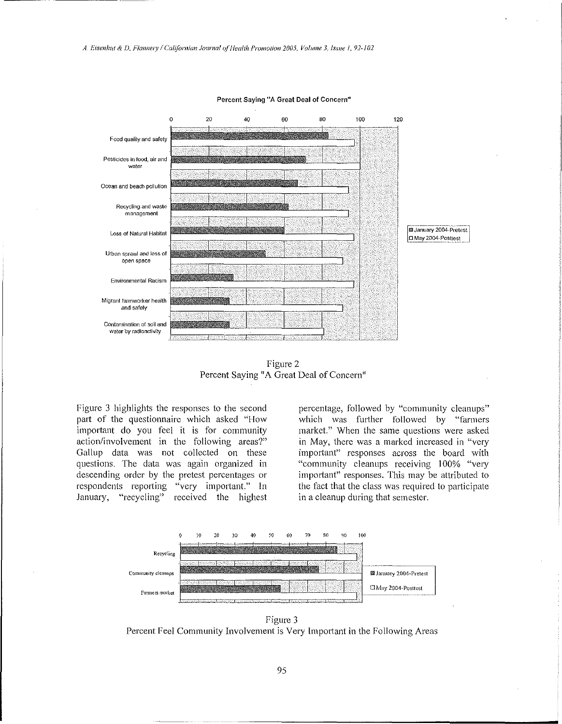

Percent Saying "A Great Deal of Concern"

Figure 2 Percent Saying "A Great Deal of Concern"

Figure 3 highlights the responses to the second part of the questionnaire which asked "How important do you feel it is for community action/involvement in the following areas?" Gallup data was not collected on these questions. The data was again organized in descending order by the pretest percentages or respondents reporting "very important." In January, "recycling" received the highest percentage, followed by "community cleanups" which was further followed by "farmers market." When the same questions were asked in May, there was a marked increased in "very important" responses across the board with "community cleanups receiving 100% "very important" responses. This may be attributed to the fact that the class was required to participate in a cleanup during that semester.



Figure 3 Percent Feel Community Involvement is Very Important in the Following Areas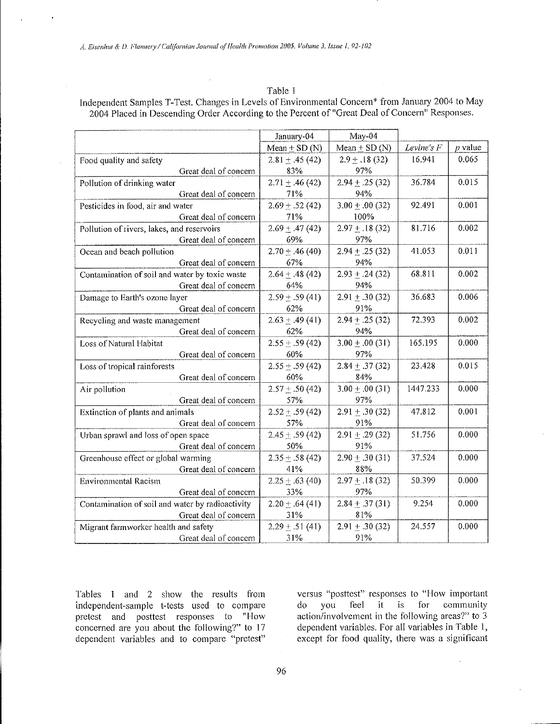### Table 1

Independent Samples T-Test. Changes in Levels of Environmental Concern\* from January 2004 to May 2004 Placed in Descending Order According to the Percent of "Great Deal of Concern" Responses.

|                                                  | January-04          | May-04              |            |           |
|--------------------------------------------------|---------------------|---------------------|------------|-----------|
|                                                  | Mean $\pm$ SD (N)   | Mean $\pm$ SD (N)   | Levine's F | $p$ value |
| Food quality and safety                          | $2.81 \pm .45(42)$  | $2.9 \pm .18(32)$   | 16.941     | 0.065     |
| Great deal of concern                            | 83%                 | 97%                 |            |           |
| Pollution of drinking water                      | $2.71 \pm .46$ (42) | $2.94 \pm .25(32)$  | 36.784     | 0.015     |
| Great deal of concern                            | 71%                 | 94%                 |            |           |
| Pesticides in food, air and water                | $2.69 \pm .52(42)$  | $3.00 \pm .00(32)$  | 92.491     | 0.001     |
| Great deal of concern                            | 71%                 | 100%                |            |           |
| Pollution of rivers, lakes, and reservoirs       | $2.69 \pm .47(42)$  | $2.97 \pm .18$ (32) | 81.716     | 0.002     |
| Great deal of concern                            | 69%                 | 97%                 |            |           |
| Ocean and beach pollution                        | $2.70 \pm .46(40)$  | $2.94 \pm .25(32)$  | 41.053     | 0.011     |
| Great deal of concern                            | 67%                 | 94%                 |            |           |
| Contamination of soil and water by toxic waste   | $2.64 \pm .48(42)$  | $2.93 \pm .24(32)$  | 68.811     | 0.002     |
| Great deal of concern                            | 64%                 | 94%                 |            |           |
| Damage to Earth's ozone layer                    | $2.59 \pm .59(41)$  | $2.91 \pm .30(32)$  | 36.683     | 0.006     |
| Great deal of concern                            | 62%                 | 91%                 |            |           |
| Recycling and waste management                   | $2.63 \pm .49(41)$  | $2.94 \pm .25(32)$  | 72.393     | 0.002     |
| Great deal of concern                            | 62%                 | 94%                 |            |           |
| Loss of Natural Habitat                          | $2.55 \pm .59(42)$  | $3.00 \pm .00(31)$  | 165.195    | 0.000     |
| Great deal of concern                            | 60%                 | 97%                 |            |           |
| Loss of tropical rainforests                     | $2.55 + .59(42)$    | $2.84 \pm .37(32)$  | 23.428     | 0.015     |
| Great deal of concern                            | 60%                 | 84%                 |            |           |
| Air pollution                                    | $2.57 \pm .50(42)$  | $3.00 \pm .00(31)$  | 1447.233   | 0.000     |
| Great deal of concern                            | 57%                 | 97%                 |            |           |
| Extinction of plants and animals                 | $2.52 \pm .59(42)$  | $2.91 \pm .30(32)$  | 47.812     | 0.001     |
| Great deal of concern                            | 57%                 | 91%                 |            |           |
| Urban sprawl and loss of open space              | $2.45 \pm .59(42)$  | $2.91 \pm .29(32)$  | 51.756     | 0.000     |
| Great deal of concern                            | 50%                 | 91%                 |            |           |
| Greenhouse effect or global warming              | $2.35 \pm .58$ (42) | $2.90 \pm .30(31)$  | 37.524     | 0.000     |
| Great deal of concern                            | 41%                 | 88%                 |            |           |
| <b>Environmental Racism</b>                      | $2.25 \pm .63(40)$  | $2.97 \pm .18(32)$  | 50.399     | 0.000     |
| Great deal of concern                            | 33%                 | 97%                 |            |           |
| Contamination of soil and water by radioactivity | $2.20 \pm .64(41)$  | $2.84 \pm .37(31)$  | 9.254      | 0.000     |
| Great deal of concern                            | 31%                 | 81%                 |            |           |
| Migrant farmworker health and safety             | $2.29 \pm .51(41)$  | $2.91 \pm .30(32)$  | 24.557     | 0.000     |
| Great deal of concern                            | 31%                 | 91%                 |            |           |

Tables 1 and 2 show the results from independent-sample t-tests used to compare pretest and posttest responses to "How concerned are you about the following?" to 17 dependent variables and to compare "pretest"

versus "posttest" responses to "How important  $d\sigma$ you feel it is for community action/involvement in the following areas?" to 3 dependent variables. For all variables in Table 1, except for food quality, there was a significant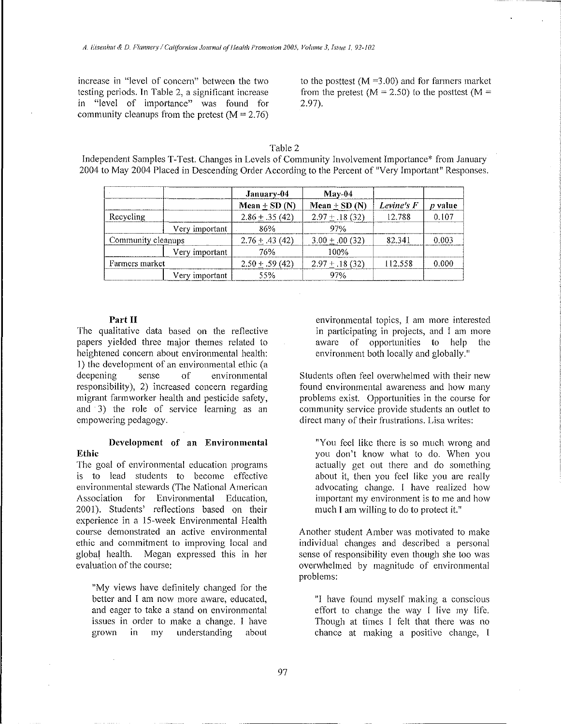increase in "level of concern" between the two testing periods. In Table 2, a significant increase in "level of importance" was found for community cleanups from the pretest  $(M = 2.76)$ 

to the posttest  $(M = 3.00)$  and for farmers market from the pretest ( $M = 2.50$ ) to the posttest ( $M =$  $2.97$ ).

# Table 2

Independent Samples T-Test. Changes in Levels of Community Involvement Importance\* from January 2004 to May 2004 Placed in Descending Order According to the Percent of "Very Important" Responses.

|                    |                | January-04         | $M$ ay-04           |            |                |
|--------------------|----------------|--------------------|---------------------|------------|----------------|
|                    |                | $Mean + SD(N)$     | Mean $\pm$ SD (N)   | Levine's F | <i>p</i> value |
| Recycling          |                | $2.86 + .35(42)$   | $2.97 \pm .18(32)$  | 12.788     | 0.107          |
|                    | Very important | 86%                | 97%                 |            |                |
| Community cleanups |                | $2.76 + .43(42)$   | $3.00 \pm .00(32)$  | 82.341     | 0.003          |
|                    | Very important | 76%                | 100%                |            |                |
| Farmers market     |                | $2.50 \pm .59(42)$ | $2.97 \pm .18$ (32) | 112.558    | 0.000          |
|                    | Very important | 55%                | 97%                 |            |                |

# Part II

The qualitative data based on the reflective papers yielded three major themes related to heightened concern about environmental health: 1) the development of an environmental ethic (a deepening sense of environmental responsibility), 2) increased concern regarding migrant farmworker health and pesticide safety. and 3) the role of service learning as an empowering pedagogy.

## Development of an Environmental Ethic

The goal of environmental education programs is to lead students to become effective environmental stewards (The National American Association for Environmental Education, 2001). Students' reflections based on their experience in a 15-week Environmental Health course demonstrated an active environmental ethic and commitment to improving local and global health. Megan expressed this in her evaluation of the course:

"My views have definitely changed for the better and I am now more aware, educated, and eager to take a stand on environmental issues in order to make a change. I have grown in my understanding about

environmental topics, I am more interested in participating in projects, and I am more aware of opportunities to help the environment both locally and globally."

Students often feel overwhelmed with their new found environmental awareness and how many problems exist. Opportunities in the course for community service provide students an outlet to direct many of their frustrations. Lisa writes:

"You feel like there is so much wrong and you don't know what to do. When you actually get out there and do something about it, then you feel like you are really advocating change. I have realized how important my environment is to me and how much I am willing to do to protect it."

Another student Amber was motivated to make individual changes and described a personal sense of responsibility even though she too was overwhelmed by magnitude of environmental problems:

"I have found myself making a conscious effort to change the way I live my life. Though at times I felt that there was no chance at making a positive change, I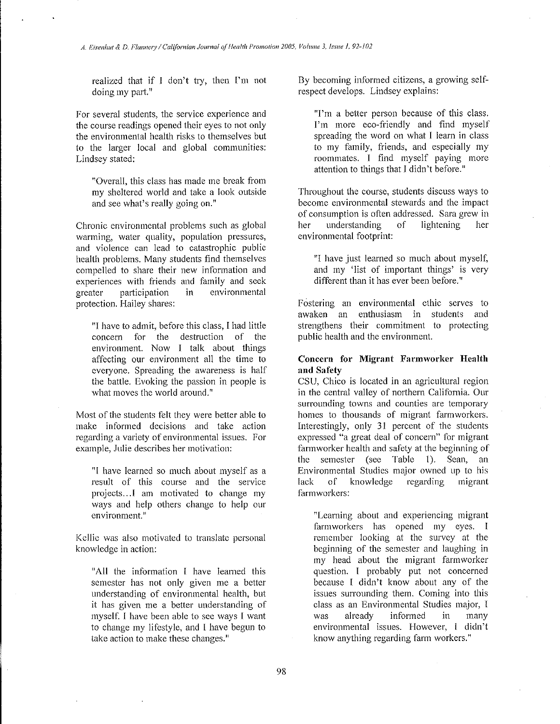realized that if I don't try, then I'm not doing my part."

For several students, the service experience and the course readings opened their eyes to not only the environmental health risks to themselves but to the larger local and global communities: Lindsey stated:

"Overall, this class has made me break from my sheltered world and take a look outside **and see what's really going on. <sup>u</sup>**

Chronic environmental problems such as global **warming, water quality, population pressures,**  and violence can lead to catastrophic public health problems. Many students find themselves compelled to share their new information and experiences with friends and family and seek **greater participation in environmental**  protection. Hailey shares:

"I have to admit, before this class, I had little concern for the destruction of the environment. Now I talk about things affecting our environment all the time to everyone. Spreading the awareness is half the battle. Evoking the passion in people is what moves the world around."

Most of the students felt they were better able to make informed decisions and take action **regarding a variety of environmental issues. For**  example, Julie describes her motivation:

"1 have learned so much about myself as a result of this course and the service projects ... l am motivated to change my ways and help others change to help our environment."

Kcllic was also motivated to translate personal knowledge in action:

"All the information l have learned this semester has not only given me a better understanding of environmental health, but it has given me a better understanding of myself. I have been able to see ways I want to change my lifestyle, and 1 have begun to **take action to make these changes.''** 

By becoming informed citizens, a growing selfrespect develops. Lindsey explains:

**"I'm a better person because of this class.**  I'm more eco-friendly and find myself spreading the word on what I learn in class to my family, friends, and especially my roommates. I find myself paying more attention to things that I didn't before."

Throughout the course, students discuss ways to become environmental stewards and the impact of consumption is often addressed. Sara grew in<br>her understanding of lightening her her understanding of lightening her environmental footprint:

"I have just learned so much about myself, and my 'list of important things' is very different than it has ever been before."

Fostering an environmental ethic serves to awaken an enthusiasm in students and strengthens their commitment to protecting public health and the environment.

### **Concern for Migrant Farmworker Health and Safety**

CSU, Chico is located in an agricultural region in the central valley of northern California. Om **surrounding towns and counties are temporary**  homes to thousands of migrant farmworkers. Interestingly, only 31 percent of the students **expressed "a great deal of concern" for migrant**  farmworker health and safety at the beginning of the semester (see Table 1). Sean, an Environmental Studies major owned up to his lack of knowledge regarding migrant farmworkers:

**"Learning about and experiencing migrant**  farmworkers has opened my eyes. I remember looking at the survey at the beginning of the semester and laughing in my head about the migrant farmworker question. I probably put not concerned because **l** didn't know about any of the issues surrounding them. Coming into this class as an Environmental Studies major, l was already informed in many **environmental issues. However, I didn't**  know anything regarding farm workers."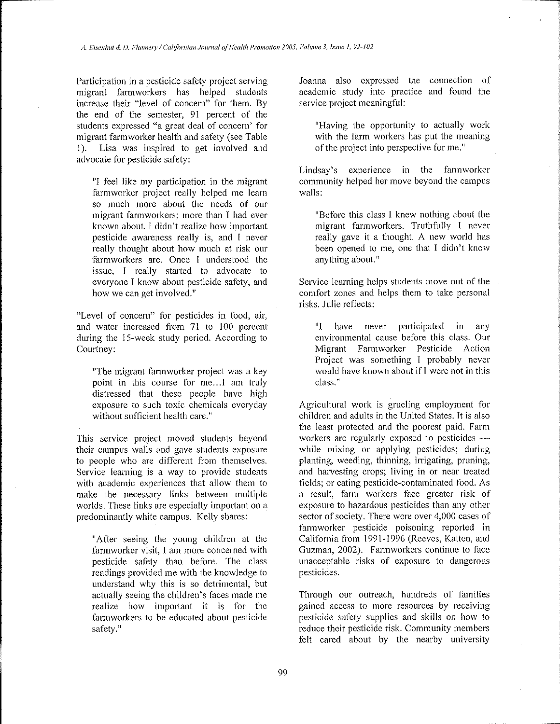Participation in a pesticide safety project serving migrant farmworkers has helped students increase their "level of concern" for them. By the end of the semester, 91 percent of the students expressed "a great deal of concern' for migrant farm worker health and safety (see Table I). Lisa was inspired to get involved and advocate for pesticide safety:

"I feel like my participation in the migrant farmworker project really helped me learn so much more about the needs of our migrant fannworkers; more than I had ever known about. l didn't realize how important pesticide awareness really is, and I never really thought about how much at risk our farmworkers are. Once I understood the issue, I really started to advocate to everyone l know about pesticide safety, and **how we can get involved."** 

**"Level of concern" for pesticides in food, air,**  and water increased from  $71$  to  $100$  percent during the 15-week study period. According to Courtney:

"The migrant fannworker project was a key point in this course for me... I am truly distressed that these people have high exposure to such toxic chemicals everyday without sufficient health care."

This service project moved students beyond their campus walls and gave students exposure to people who are different from themselves. Service learning is a way to provide students with academic experiences that allow them to make the necessary links between multiple worlds. These links are especially important on a predominantly white campus. Kelly shares:

"After seeing the young children at the farmworker visit, I am more concerned with pesticide safety than before. The class readings provided me with the knowledge to understand why this is so detrimental, but actually seeing the children's faces made me realize how important it is for the fannworkers to be educated about pesticide safety."

Joanna also expressed the **connection of**  academic study into practice and found the service project meaningful:

"Having the opportunity to actually work with the farm workers has put the meaning of the project into perspective for me."

Lindsay's experience in the farmworker community helped her move beyond the campus walls:

"Before this class **l** knew nothing about the migrant fannworkers. Truthfully I never really gave it a thought. A new world has been opened to me, one that I didn't know anything about."

Service learning helps students move out of the comfort zones and helps them to take personal risks. Julie reflects:

"I have never participated in any environmental cause before this class. Our Migrant Farmworker Pesticide Action Project was something I probably never would have known about if I were not in this **class."** 

Agricultural work is grueling employment for children and adults in the United States. It is also the least protected and the poorest paid. Farm workers are regularly exposed to pesticides  $$ while mixing or applying pesticides; during **planting, weeding, thinning, irrigating, pruning, and harvesting crops; living in or ncar treated**  fields; or eating pesticide-contaminated food. As **a result, farm workers face greater risk of**  exposure to hazardous pesticides than any other sector of society. There were over 4,000 cases of farmworker pesticide poisoning reported in California from 1991-1996 (Reeves, Kalten, and Guzman, 2002). Fannworkers continue to face unacceptable risks of exposure to dangerous pesticides.

Through our outreach, hundreds of families gained access to more resources by receiving pesticide safety supplies and skills on how to reduce their pesticide risk. Community members felt cared about by the nearby university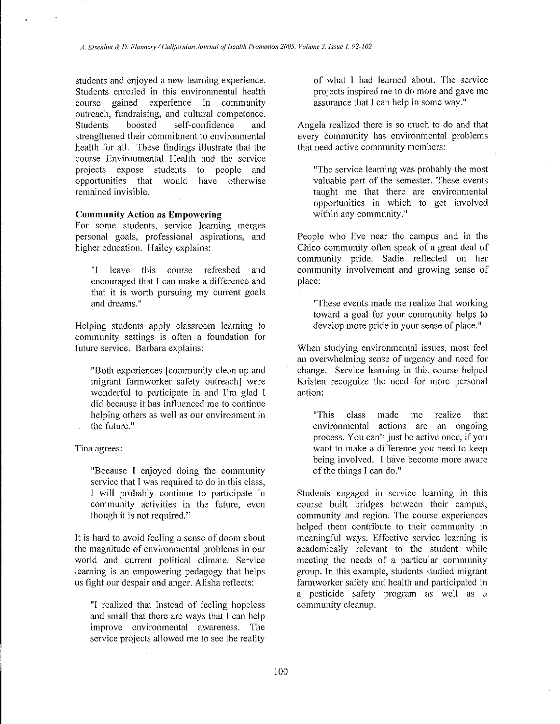students and enjoyed a new learning experience. Students enrolled in this environmental health **course gained experience in community**  outreach, fundraising, and cultural competence. Students boosted self-confidence and strengthened their commitment to environmental health for all. These findings illustrate that the course Environmental Health and the service projects expose students to people and opportunities that would have otherwise **remained invisible.** 

## **Community Action as Empowering**

**For some students, service learning merges**  personal goals, professional aspirations, and higher education. Hailey explains:

"I leave this course refreshed and encouraged that I can make a difference and that it is worth pursuing my current goals and dreams.<sup>"</sup>

Helping students apply classroom learning to community settings is often a foundation for future service. Barbara explains:

"Both experiences [community clean up and migrant farmworker safety outreach] were wonderful to participate in and I'm glad I did because it has intluenced me to continue helping others as well as our environment in the future.<sup>"</sup>

#### **Tina agrees:**

"Because I enjoyed doing the community service that I was required to do in this class, 1 will probably continue to participate in **community activities in the future, even**  though it is not required."

It is hard to avoid feeling a sense of doom about the magnitude of environmental problems in our world and current political climate. Service learning is an empowering pedagogy that helps us fight our despair and anger. Alisha retlccts:

"I realized that instead of feeling hopeless and small that there are ways that I can help **improve environmental awareness. The**  service projects allowed me to see the reality

of what I had learned about. The service projects inspired me to do more and gave me assurance that I can help in some way."

Angela realized there is so much to do and that every community has environmental problems that need active community members:

"The service learning was probably the most valuable part of the semester. These events taught me that there are environmental opportunities in which to get involved **within any community.''** 

People who live near the campus and in the Chico community often speak of a great deal of community pride. Sadie retlected on her community involvement and growing sense of place:

"These events made me realize that working toward a goal for your community helps to develop more pride in your sense of place."

When studying environmental issues, most feel an overwhelming sense of urgency and need for change. Service learning in this course helped Kristen recognize the need for more personal **action:** 

**uThis class made me realize that environmental actions are an ongoing process. You can't just be active once, if you**  want to make a difference you need to keep **being involved.** I have become more aware of the things I can do."

Students engaged in service learning in this course built bridges between their campus, community and region. The course experiences helped them contribute to their community in meaningful ways. Effective service learning is academically relevant to the student while meeting the needs of a particular community group. In this example, students studied migrant farmworker safety and health and participated in a pesticide safety program as well as a community cleanup.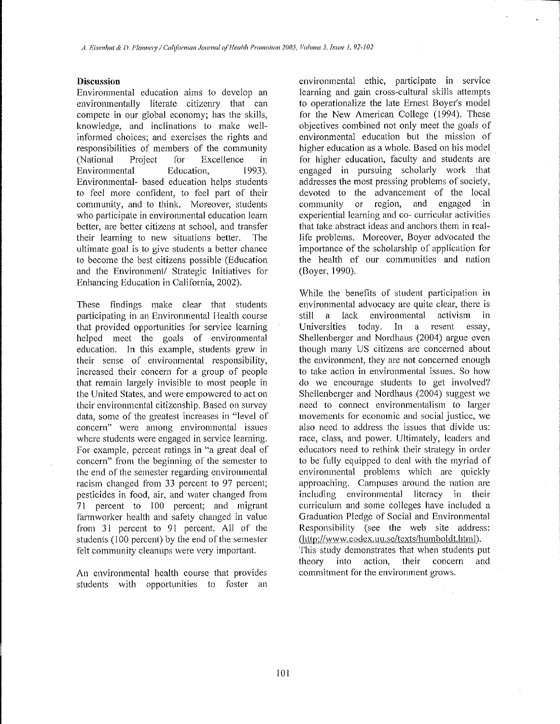## **Discussion**

Environmental education aims to develop an environmentally literate citizenry that can compete in our global economy; has the skills, knowledge, and inclinations to make wellinformed choices; and exercises the rights and responsibilities of members of the community (National Project for Excellence in Environmental Education, 1993). Environmental- based education helps students to feel more confident, to feel part of their **community, and to think. Moreover, students**  who participate in environmental education learn better, arc better citizens at school, and transfer their learning to new situations better. The ultimate goal is to give students a better chance to become the best citizens possible (Education and the Environment/ Strategic Initiatives for Enhancing Education in California, 2002).

These findings make clear that students participating in an Environmental Health course that provided opportunities for service learning helped meet the goals of environmental education. In this example, students grew in their sense of environmental responsibility, increased their concern for a group of people that remain largely invisible to most people in the United States, and were empowered to act on **their environmental citizenship. Based on survey**  data, some of the greatest increases in "level of **concern" were among environmental issues where students were engaged in service learning. For example, percent ratings in "a great deal of**  concern" from the beginning of the semester to the end of the semester regarding environmental racism changed from 33 percent to 97 percent; pesticides in food, air, and water changed from 71 percent to 100 percent; and migrant farmworker health and safety changed in value from 31 percent to 91 percent. All of the students (100 percent) by the end of the semester felt community cleanups were very important.

An environmental health course that provides students with opportunities to foster an environmental ethic, participate in service learning and gain cross-cultural skills attempts to operationalize the late Ernest Boyer's model for the New American College (1994). These objectives combined not only meet the goals of environmental education but the mission of higher education as a whole. Based on his model for higher education, faculty and students are engaged in pursuing scholarly work that addresses the most pressing problems of society, devoted to the advancement of the local community or region, and engaged in **experiential learning and co- curricular activities**  that take abstract ideas and anchors them in reallife problems. Moreover, Boyer advocated the importance of the scholarship of application for the health of our communities and nation (Boyer, 1990).

While the benefits of student participation in environmental advocacy are quite clear, there is still a lack environmental activism in Universities today. In a resent essay, Shellenberger and Nordhaus (2004) argue even though many US citizens are concerned about **the environment, they are not concerned enough**  to take action in environmental issues. So how do we encourage students to get involved? Shellenberger and Nordhaus (2004) suggest we **need to connect environmentalism to larger movements for economic and social justice, we**  also need to address the issues that divide us: race, class, and power. Ultimately, leaders and educators need to rethink their strategy in order to be fully equipped to deal with the myriad of environmental problems which are quickly **approaching. Campuses around the nation are**  including environmental literacy in their **curriculum and some colleges have included a**  Graduation Pledge of Social and Environmental Responsibility (see the web site address: (http://www.codex.uu.se/texts/humboldt.html). This study demonstrates that when students put theory into action, their concern and commitment for the environment grows.